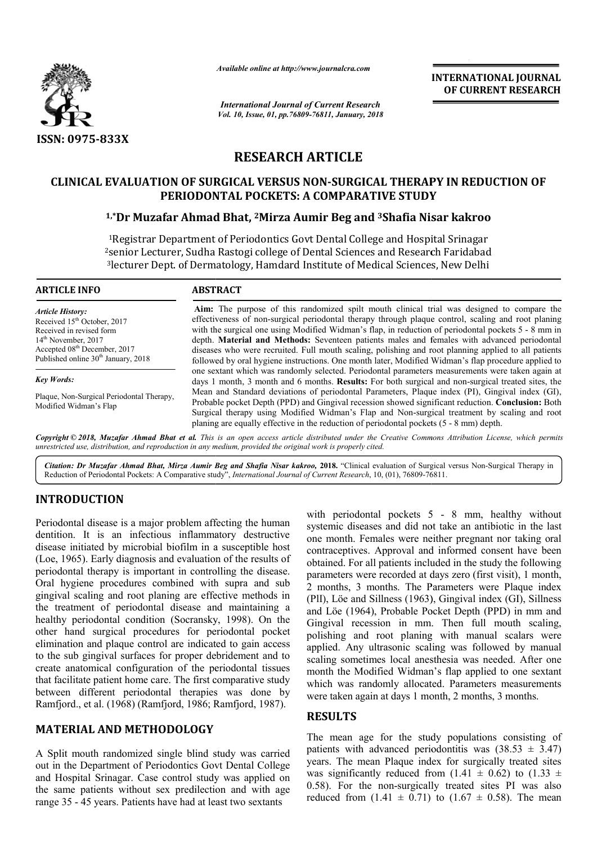

*Available online at http://www.journalcra.com*

*International Journal of Current Research Vol. 10, Issue, 01, pp.76809-76811, January, 2018* **OF CURRENT RESEARCH**

# **RESEARCH ARTICLE**

# **CLINICAL EVALUATION OF SURGICAL VERSUS NON-SURGICAL THERAPY IN REDUCTION OF**<br>PERIODONTAL POCKETS: A COMPARATIVE STUDY<br><sup>1,\*</sup>Dr Muzafar Ahmad Bhat, <sup>2</sup>Mirza Aumir Beg and <sup>3</sup>Shafia Nisar kakroo **PERIODONTAL POCKETS: A COMPARATIVE STUDY**

### **1,\*Dr Muzafar Ahmad Bhat Dr Bhat, 2Mirza Aumir Beg and 3Shafia Nisar**

1Registrar Department of Periodontics Govt Dental College and Hospital Srinagar 2senior Lecturer, Sudha Rastogi college of Dental Sciences and Research Faridabad 3lecturer Dept. of Dermatology, Hamdard Institute of Medical Sciences, New Delhi <sup>1</sup>Registrar Department of Periodontics Govt Dental College and Hospital Srinagar<br>senior Lecturer, Sudha Rastogi college of Dental Sciences and Research Faridabad<br><sup>3</sup>lecturer Dept. of Dermatology, Hamdard Institute of Medi

**ARTICLE INFO ABSTRACT**

*Article History:* Received 15<sup>th</sup> October, 2017 Received in revised form 14th November, 2017 Accepted 08<sup>th</sup> December, 2017 Published online 30<sup>th</sup> January, 2018

*Key Words:*

Plaque, Non-Surgical Periodontal Therapy, Modified Widman's Flap

**Aim:**  The purpose of this randomized spilt mouth clinical trial was designed to compare the effectiveness of non-surgical periodontal therapy through plaque control, scaling and root planing with the surgical one using Modified Widman's flap, in reduction of periodontal pockets 5 - 8 mm in depth. **Material and Methods:** Seventeen patients males and females with advanced periodontal diseases who were recruited. Full mouth scaling, polishing and root planning applied to all patients followed by oral hygiene instructions. One month later, Modified Widman's flap procedure applied to one sextant which was randomly selected. Periodontal parameters measurements were taken again at days 1 month, 3 month and 6 months. **Results:** For both surgical and non Mean and Standard deviations of periodontal Parameters, Plaque index (PI), Gingival index (GI), Mean and Standard deviations of periodontal Parameters, Plaque index (PI), Gingival index (GI), Probable pocket Depth (PPD) and Gingival recession showed significant reduction. **Conclusion:** Both Surgical therapy using Modified Widman's Flap and Non Non-surgical treatment by scaling and root Surgical therapy using Modified Widman's Flap and Non-surgical treatment by s<br>planing are equally effective in the reduction of periodontal pockets (5 - 8 mm) depth. Aim: The purpose of this randomized spilt mouth clinical trial was designed to compare the effectiveness of non-surgical periodontal therapy through plaque control, scaling and root planing with the surgical one using Modi diseases who were recruited. Full mouth scaling, polishing and root planning applied to all patients followed by oral hygiene instructions. One month later, Modified Widman's flap procedure applied to one sextant which was

Copyright © 2018, Muzafar Ahmad Bhat et al. This is an open access article distributed under the Creative Commons Attribution License, which permits *unrestricted use, distribution, and reproduction in any medium, provided the original work is properly cited.*

Citation: Dr Muzafar Ahmad Bhat, Mirza Aumir Beg and Shafia Nisar kakroo, 2018. "Clinical evaluation of Surgical versus Non-Surgical Therapy in Reduction of Periodontal Pockets: A Comparative study", *International Journal of Current Research*, 10, (01), 76809-76811.

### **INTRODUCTION**

Periodontal disease is a major problem affecting the human dentition. It is an infectious inflammatory destructive disease initiated by microbial biofilm in a susceptible host (Loe, 1965). Early diagnosis and evaluation of the results of periodontal therapy is important in controlling the disease. Oral hygiene procedures combined with supra and sub gingival scaling and root planing are effective methods in the treatment of periodontal disease and maintaining a (Loe, 1965). Early diagnosis and evaluation of the results of periodontal therapy is important in controlling the disease. Oral hygiene procedures combined with supra and sub gingival scaling and root planing are effective other hand surgical procedures for periodontal pocket elimination and plaque control are indicated to gain access to the sub gingival surfaces for proper debridement and to create anatomical configuration of the periodontal tissues that facilitate patient home care. The first comparative study between different periodontal therapies was done by Ramfjord., et al. (1968) (Ramfjord, 1986; Ramfjord, 1987 1987). Examely and individual pockets is an infectious inflammatory destructive one month. Females wenter dividual both in a susceptible host one month. Females were neceled at a parameter with diagrams and evaluation of the resu

## **MATERIAL AND METHODOLOGY**

A Split mouth randomized single blind study was carried out in the Department of Periodontics Govt Dental College and Hospital Srinagar. Case control study was applied on the same patients without sex predilection and with age range 35 - 45 years. Patients have had at least two sextants

systemic diseases and did not take an antibiotic in the last one month. Females were neither pregnant nor taking oral contraceptives. Approval and informed consent have been obtained. For all patients included in the study the following parameters were recorded at days zero (first visit), 1 month, 2 months, 3 months. The Parameters were Plaque index (PlI), Löe and Sillness (1963), Gingival index (GI), Sillness and Löe (1964), Probable Pocket Depth (PPD) in mm and Gingival recession in mm. Then full mouth scaling, polishing and root planing with manual scalars were applied. Any ultrasonic scaling was followed by manual scaling sometimes local anesthesia was needed. After one month the Modified Widman's flap applied to one sextant which was randomly allocated. Parameters measurements were taken again at days 1 month, 2 months, 3 months. with periodontal pockets  $5 - 8$  mm, healthy without stemic diseases and did not take an antibiotic in the last<br> e month. Females were neither pregnant nor taking oral<br> ntraceptives. Approval and informed consent have been<br> tained. For all patients included in the study the polishing and root planing with manual scalars were applied. Any ultrasonic scaling was followed by manual scaling sometimes local anesthesia was needed. After one month the Modified Widman's flap applied to one sextant w **EXERCTIONAL JOURNAL**<br> **EXERCT CONSTRATIONAL SOURNAL<br>
<b>EXERCT CONSTRATION**<br> **EXERCT CONSTRATION OF REACTAL THERAPY IN REDUCTION OF REACTAL THERAPY IN REDUCTION OF ARATIVE STUDY<br>
<b>EXERCT CONSTRATION**<br> **EXERCT CONSTRATION**<br>

### **RESULTS**

The mean age for the study populations consisting of patients with advanced periodontitis was  $(38.53 \pm 3.47)$ years. The mean Plaque index for surgically treated sites was significantly reduced from  $(1.41 \pm 0.62)$  to  $(1.33 \pm 0.62)$ 0.58). For the non-surgically treated sites PI was also reduced from  $(1.41 \pm 0.71)$  to  $(1.67 \pm 0.58)$ . The mean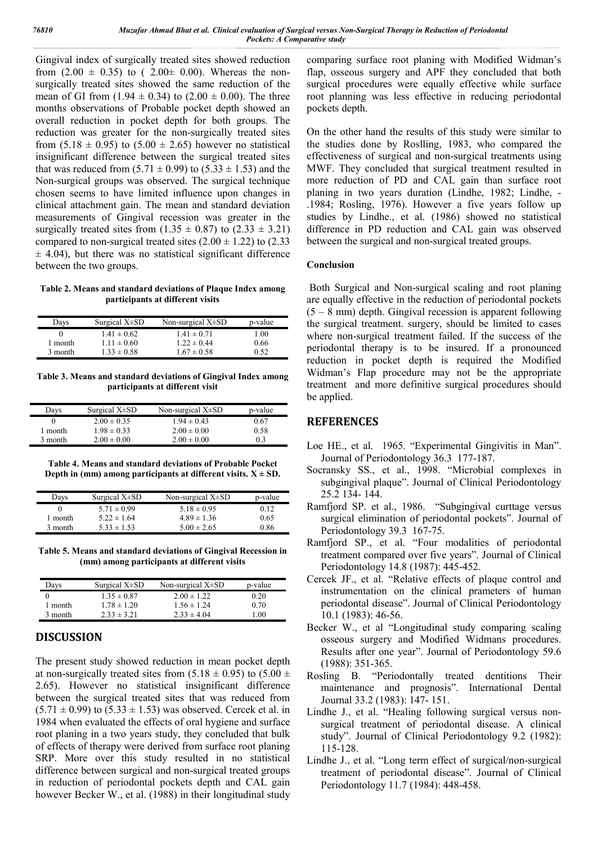Gingival index of surgically treated sites showed reduction from  $(2.00 \pm 0.35)$  to  $(2.00 \pm 0.00)$ . Whereas the nonsurgically treated sites showed the same reduction of the mean of GI from  $(1.94 \pm 0.34)$  to  $(2.00 \pm 0.00)$ . The three months observations of Probable pocket depth showed an overall reduction in pocket depth for both groups. The reduction was greater for the non-surgically treated sites from  $(5.18 \pm 0.95)$  to  $(5.00 \pm 2.65)$  however no statistical insignificant difference between the surgical treated sites that was reduced from  $(5.71 \pm 0.99)$  to  $(5.33 \pm 1.53)$  and the Non-surgical groups was observed. The surgical technique chosen seems to have limited influence upon changes in clinical attachment gain. The mean and standard deviation measurements of Gingival recession was greater in the surgically treated sites from  $(1.35 \pm 0.87)$  to  $(2.33 \pm 3.21)$ compared to non-surgical treated sites  $(2.00 \pm 1.22)$  to  $(2.33)$  $±$  4.04), but there was no statistical significant difference between the two groups.

#### **Table 2. Means and standard deviations of Plaque Index among participants at different visits**

| Days    | Surgical $X\pm SD$ | Non-surgical $X\pm SD$ | p-value |
|---------|--------------------|------------------------|---------|
|         | $1.41 \pm 0.62$    | $1.41 \pm 0.71$        | 1.00    |
| 1 month | $1.11 \pm 0.60$    | $1.22 \pm 0.44$        | 0.66    |
| 3 month | $1.33 \pm 0.58$    | $1.67 \pm 0.58$        | 0.52    |

**Table 3. Means and standard deviations of Gingival Index among participants at different visit**

| Days     | Surgical $X\pm SD$ | Non-surgical $X\pm SD$ | p-value |
|----------|--------------------|------------------------|---------|
|          | $2.00 \pm 0.35$    | $1.94 \pm 0.43$        | 0.67    |
| l month. | $1.98 \pm 0.33$    | $2.00 \pm 0.00$        | 0.58    |
| 3 month  | $2.00 \pm 0.00$    | $2.00 \pm 0.00$        | 0.3     |

**Table 4. Means and standard deviations of Probable Pocket Depth in (mm) among participants at different visits.**  $X \pm SD$ .

| Days    | Surgical $X\pm SD$ | Non-surgical $X\pm SD$ | p-value |
|---------|--------------------|------------------------|---------|
|         | $5.71 \pm 0.99$    | $5.18 \pm 0.95$        | 0.12    |
| 1 month | $5.22 \pm 1.64$    | $4.89 \pm 1.36$        | 0.65    |
| 3 month | $5.33 \pm 1.53$    | $5.00 \pm 2.65$        | 0.86    |

**Table 5. Means and standard deviations of Gingival Recession in (mm) among participants at different visits**

| Days    | Surgical $X\pm SD$ | Non-surgical $X\pm SD$ | p-value |
|---------|--------------------|------------------------|---------|
|         | $1.35 \pm 0.87$    | $2.00 \pm 1.22$        | 0.20    |
| month   | $1.78 \pm 1.20$    | $1.56 \pm 1.24$        | 0.70    |
| 3 month | $2.33 \pm 3.21$    | $2.33 \pm 4.04$        | 0.01    |

#### **DISCUSSION**

The present study showed reduction in mean pocket depth at non-surgically treated sites from  $(5.18 \pm 0.95)$  to  $(5.00 \pm 0.95)$ 2.65). However no statistical insignificant difference between the surgical treated sites that was reduced from  $(5.71 \pm 0.99)$  to  $(5.33 \pm 1.53)$  was observed. Cercek et al. in 1984 when evaluated the effects of oral hygiene and surface root planing in a two years study, they concluded that bulk of effects of therapy were derived from surface root planing SRP. More over this study resulted in no statistical difference between surgical and non-surgical treated groups in reduction of periodontal pockets depth and CAL gain however Becker W., et al. (1988) in their longitudinal study

comparing surface root planing with Modified Widman's flap, osseous surgery and APF they concluded that both surgical procedures were equally effective while surface root planning was less effective in reducing periodontal pockets depth.

On the other hand the results of this study were similar to the studies done by Roslling, 1983, who compared the effectiveness of surgical and non-surgical treatments using MWF. They concluded that surgical treatment resulted in more reduction of PD and CAL gain than surface root planing in two years duration (Lindhe, 1982; Lindhe, - .1984; Rosling, 1976). However a five years follow up studies by Lindhe., et al. (1986) showed no statistical difference in PD reduction and CAL gain was observed between the surgical and non-surgical treated groups.

#### **Conclusion**

Both Surgical and Non-surgical scaling and root planing are equally effective in the reduction of periodontal pockets (5 – 8 mm) depth. Gingival recession is apparent following the surgical treatment. surgery, should be limited to cases where non-surgical treatment failed. If the success of the periodontal therapy is to be insured. If a pronounced reduction in pocket depth is required the Modified Widman's Flap procedure may not be the appropriate treatment and more definitive surgical procedures should be applied.

### **REFERENCES**

- Loe HE., et al. 1965. "Experimental Gingivitis in Man". Journal of Periodontology 36.3 177-187.
- Socransky SS., et al., 1998. "Microbial complexes in subgingival plaque". Journal of Clinical Periodontology 25.2 134- 144.
- Ramfjord SP. et al., 1986. "Subgingival curttage versus surgical elimination of periodontal pockets". Journal of Periodontology 39.3 167-75.
- Ramfjord SP., et al. "Four modalities of periodontal treatment compared over five years". Journal of Clinical Periodontology 14.8 (1987): 445-452.
- Cercek JF., et al. "Relative effects of plaque control and instrumentation on the clinical prameters of human periodontal disease". Journal of Clinical Periodontology 10.1 (1983): 46-56.
- Becker W., et al "Longitudinal study comparing scaling osseous surgery and Modified Widmans procedures. Results after one year". Journal of Periodontology 59.6 (1988): 351-365.
- Rosling B. "Periodontally treated dentitions Their maintenance and prognosis". International Dental Journal 33.2 (1983): 147- 151.
- Lindhe J., et al. "Healing following surgical versus nonsurgical treatment of periodontal disease. A clinical study". Journal of Clinical Periodontology 9.2 (1982): 115-128.
- Lindhe J., et al. "Long term effect of surgical/non-surgical treatment of periodontal disease". Journal of Clinical Periodontology 11.7 (1984): 448-458.